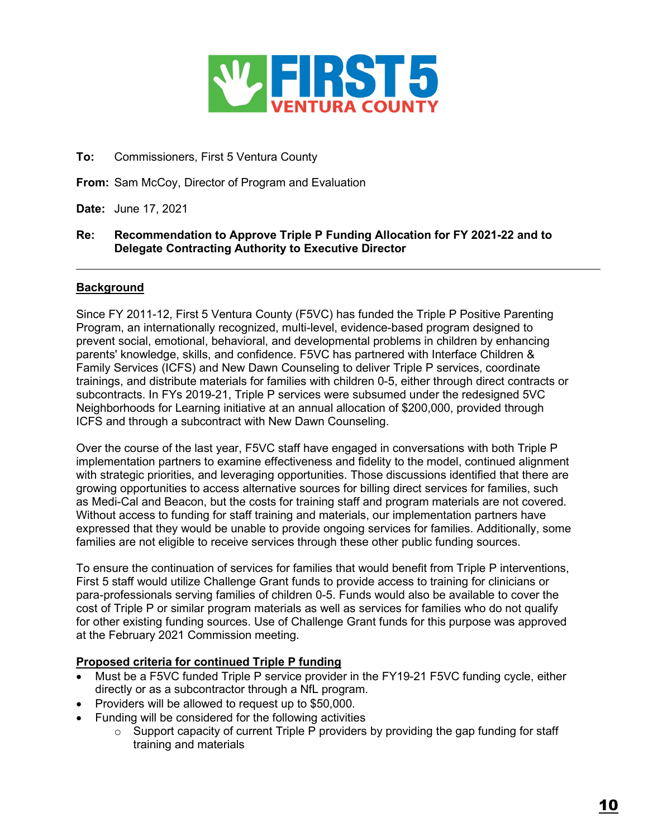

# **To:** Commissioners, First 5 Ventura County

**From:** Sam McCoy, Director of Program and Evaluation

**Date:** June 17, 2021

## **Re: Recommendation to Approve Triple P Funding Allocation for FY 2021-22 and to Delegate Contracting Authority to Executive Director**

## **Background**

Since FY 2011-12, First 5 Ventura County (F5VC) has funded the Triple P Positive Parenting Program, an internationally recognized, multi-level, evidence-based program designed to prevent social, emotional, behavioral, and developmental problems in children by enhancing parents' knowledge, skills, and confidence. F5VC has partnered with Interface Children & Family Services (ICFS) and New Dawn Counseling to deliver Triple P services, coordinate trainings, and distribute materials for families with children 0-5, either through direct contracts or subcontracts. In FYs 2019-21, Triple P services were subsumed under the redesigned 5VC Neighborhoods for Learning initiative at an annual allocation of \$200,000, provided through ICFS and through a subcontract with New Dawn Counseling.

Over the course of the last year, F5VC staff have engaged in conversations with both Triple P implementation partners to examine effectiveness and fidelity to the model, continued alignment with strategic priorities, and leveraging opportunities. Those discussions identified that there are growing opportunities to access alternative sources for billing direct services for families, such as Medi-Cal and Beacon, but the costs for training staff and program materials are not covered. Without access to funding for staff training and materials, our implementation partners have expressed that they would be unable to provide ongoing services for families. Additionally, some families are not eligible to receive services through these other public funding sources.

To ensure the continuation of services for families that would benefit from Triple P interventions, First 5 staff would utilize Challenge Grant funds to provide access to training for clinicians or para-professionals serving families of children 0-5. Funds would also be available to cover the cost of Triple P or similar program materials as well as services for families who do not qualify for other existing funding sources. Use of Challenge Grant funds for this purpose was approved at the February 2021 Commission meeting.

## **Proposed criteria for continued Triple P funding**

- Must be a F5VC funded Triple P service provider in the FY19-21 F5VC funding cycle, either directly or as a subcontractor through a NfL program.
- Providers will be allowed to request up to \$50,000.
- Funding will be considered for the following activities
	- $\circ$  Support capacity of current Triple P providers by providing the gap funding for staff training and materials